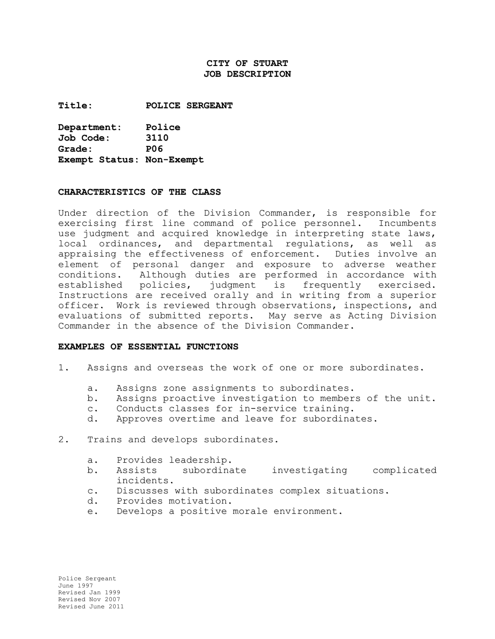### **CITY OF STUART JOB DESCRIPTION**

**Title: POLICE SERGEANT**

**Department: Police Job Code: 3110 Grade: P06 Exempt Status: Non-Exempt**

#### **CHARACTERISTICS OF THE CLASS**

Under direction of the Division Commander, is responsible for exercising first line command of police personnel. Incumbents use judgment and acquired knowledge in interpreting state laws, local ordinances, and departmental regulations, as well as appraising the effectiveness of enforcement. Duties involve an element of personal danger and exposure to adverse weather conditions. Although duties are performed in accordance with established policies, judgment is frequently exercised. Instructions are received orally and in writing from a superior officer. Work is reviewed through observations, inspections, and evaluations of submitted reports. May serve as Acting Division Commander in the absence of the Division Commander.

#### **EXAMPLES OF ESSENTIAL FUNCTIONS**

- 1. Assigns and overseas the work of one or more subordinates.
	- a. Assigns zone assignments to subordinates.
	- b. Assigns proactive investigation to members of the unit.
	- c. Conducts classes for in-service training.
	- d. Approves overtime and leave for subordinates.
- 2. Trains and develops subordinates.
	- a. Provides leadership.
	- b. Assists subordinate investigating complicated incidents.
	- c. Discusses with subordinates complex situations.
	- d. Provides motivation.
	- e. Develops a positive morale environment.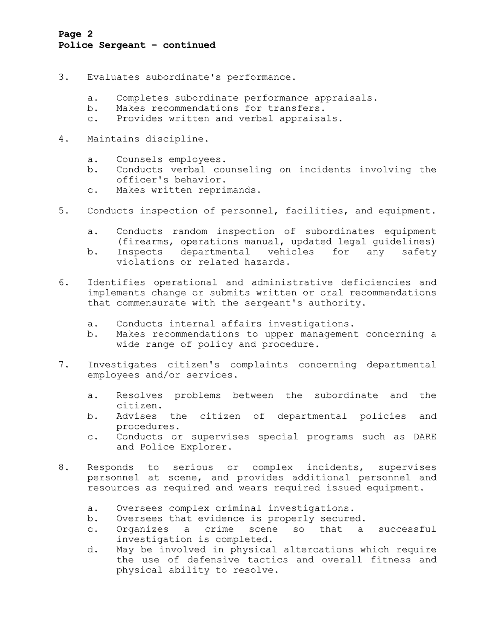## **Page 2 Police Sergeant – continued**

- 3. Evaluates subordinate's performance.
	- a. Completes subordinate performance appraisals.
	- b. Makes recommendations for transfers.
	- c. Provides written and verbal appraisals.
- 4. Maintains discipline.
	- a. Counsels employees.
	- b. Conducts verbal counseling on incidents involving the officer's behavior.
	- c. Makes written reprimands.
- 5. Conducts inspection of personnel, facilities, and equipment.
	- a. Conducts random inspection of subordinates equipment (firearms, operations manual, updated legal guidelines) b. Inspects departmental vehicles for any safety violations or related hazards.
- 6. Identifies operational and administrative deficiencies and implements change or submits written or oral recommendations that commensurate with the sergeant's authority.
	- a. Conducts internal affairs investigations.
	- b. Makes recommendations to upper management concerning a wide range of policy and procedure.
- 7. Investigates citizen's complaints concerning departmental employees and/or services.
	- a. Resolves problems between the subordinate and the citizen.
	- b. Advises the citizen of departmental policies and procedures.
	- c. Conducts or supervises special programs such as DARE and Police Explorer.
- 8. Responds to serious or complex incidents, supervises personnel at scene, and provides additional personnel and resources as required and wears required issued equipment.
	- a. Oversees complex criminal investigations.
	- b. Oversees that evidence is properly secured.
	- c. Organizes a crime scene so that a successful investigation is completed.
	- d. May be involved in physical altercations which require the use of defensive tactics and overall fitness and physical ability to resolve.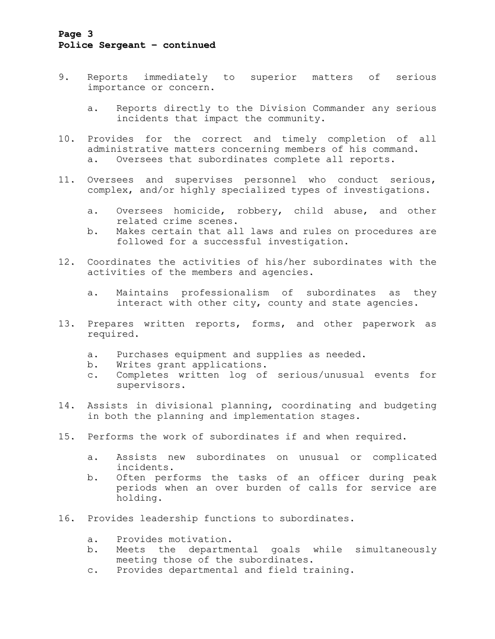## **Page 3 Police Sergeant – continued**

- 9. Reports immediately to superior matters of serious importance or concern.
	- a. Reports directly to the Division Commander any serious incidents that impact the community.
- 10. Provides for the correct and timely completion of all administrative matters concerning members of his command. a. Oversees that subordinates complete all reports.
- 11. Oversees and supervises personnel who conduct serious, complex, and/or highly specialized types of investigations.
	- a. Oversees homicide, robbery, child abuse, and other related crime scenes.
	- b. Makes certain that all laws and rules on procedures are followed for a successful investigation.
- 12. Coordinates the activities of his/her subordinates with the activities of the members and agencies.
	- a. Maintains professionalism of subordinates as they interact with other city, county and state agencies.
- 13. Prepares written reports, forms, and other paperwork as required.
	- a. Purchases equipment and supplies as needed.
	- b. Writes grant applications.
	- c. Completes written log of serious/unusual events for supervisors.
- 14. Assists in divisional planning, coordinating and budgeting in both the planning and implementation stages.
- 15. Performs the work of subordinates if and when required.
	- a. Assists new subordinates on unusual or complicated incidents.
	- b. Often performs the tasks of an officer during peak periods when an over burden of calls for service are holding.
- 16. Provides leadership functions to subordinates.
	- a. Provides motivation.
	- b. Meets the departmental goals while simultaneously meeting those of the subordinates.
	- c. Provides departmental and field training.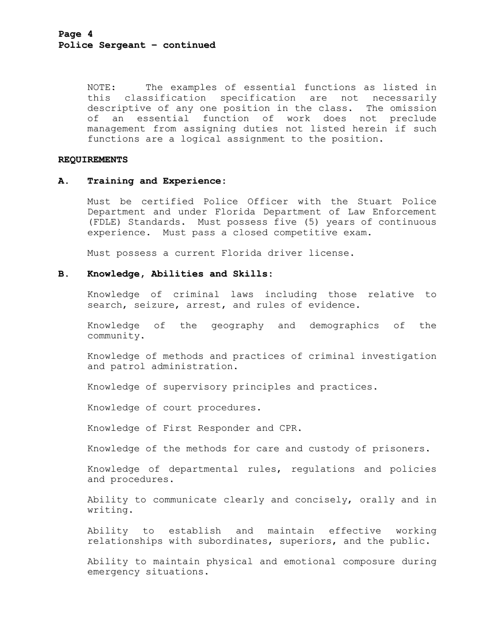NOTE: The examples of essential functions as listed in this classification specification are not necessarily descriptive of any one position in the class. The omission of an essential function of work does not preclude management from assigning duties not listed herein if such functions are a logical assignment to the position.

#### **REQUIREMENTS**

#### **A. Training and Experience:**

Must be certified Police Officer with the Stuart Police Department and under Florida Department of Law Enforcement (FDLE) Standards. Must possess five (5) years of continuous experience. Must pass a closed competitive exam.

Must possess a current Florida driver license.

#### **B. Knowledge, Abilities and Skills:**

Knowledge of criminal laws including those relative to search, seizure, arrest, and rules of evidence.

Knowledge of the geography and demographics of the community.

Knowledge of methods and practices of criminal investigation and patrol administration.

Knowledge of supervisory principles and practices.

Knowledge of court procedures.

Knowledge of First Responder and CPR.

Knowledge of the methods for care and custody of prisoners.

Knowledge of departmental rules, regulations and policies and procedures.

Ability to communicate clearly and concisely, orally and in writing.

Ability to establish and maintain effective working relationships with subordinates, superiors, and the public.

Ability to maintain physical and emotional composure during emergency situations.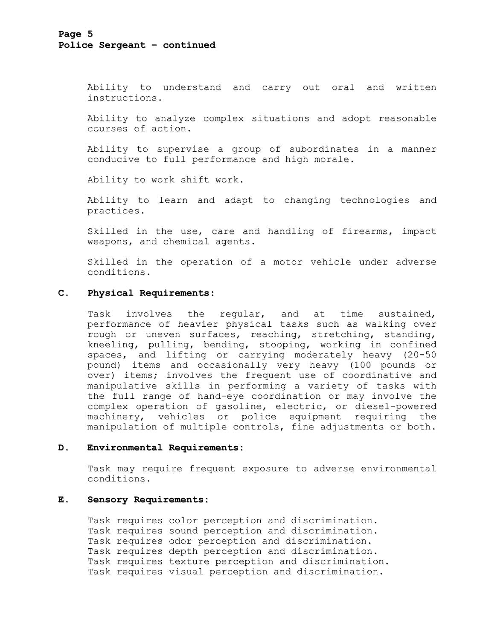Ability to understand and carry out oral and written instructions.

Ability to analyze complex situations and adopt reasonable courses of action.

Ability to supervise a group of subordinates in a manner conducive to full performance and high morale.

Ability to work shift work.

Ability to learn and adapt to changing technologies and practices.

Skilled in the use, care and handling of firearms, impact weapons, and chemical agents.

Skilled in the operation of a motor vehicle under adverse conditions.

### **C. Physical Requirements:**

Task involves the regular, and at time sustained, performance of heavier physical tasks such as walking over rough or uneven surfaces, reaching, stretching, standing, kneeling, pulling, bending, stooping, working in confined spaces, and lifting or carrying moderately heavy (20-50 pound) items and occasionally very heavy (100 pounds or over) items; involves the frequent use of coordinative and manipulative skills in performing a variety of tasks with the full range of hand-eye coordination or may involve the complex operation of gasoline, electric, or diesel-powered machinery, vehicles or police equipment requiring the manipulation of multiple controls, fine adjustments or both.

#### **D. Environmental Requirements:**

Task may require frequent exposure to adverse environmental conditions.

#### **E. Sensory Requirements:**

Task requires color perception and discrimination. Task requires sound perception and discrimination. Task requires odor perception and discrimination. Task requires depth perception and discrimination. Task requires texture perception and discrimination. Task requires visual perception and discrimination.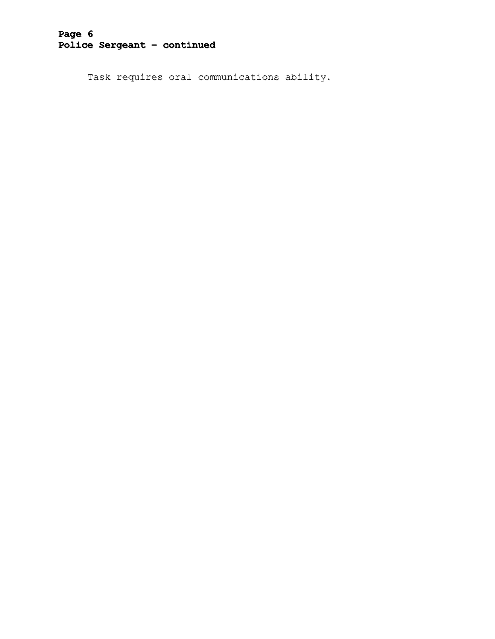# **Page 6 Police Sergeant – continued**

Task requires oral communications ability.